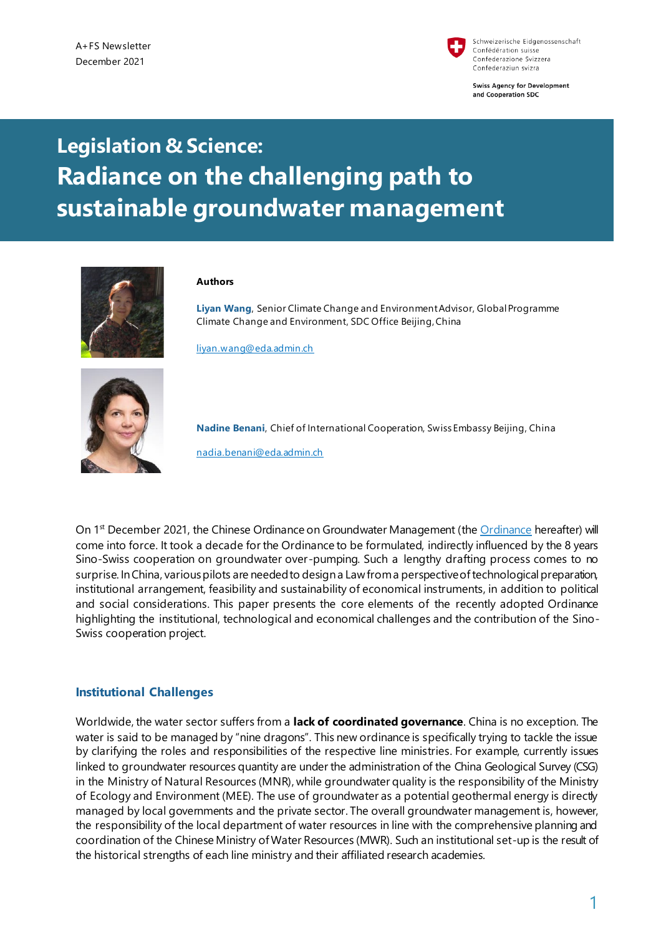

Schweizerische Eidgenossenschaft Confédération suisse Confederazione Svizzera Confederaziun svizra

**Swiss Agency for Development** and Cooperation SDC

# **Legislation & Science: Radiance on the challenging path to sustainable groundwater management**



#### **Authors**

**Liyan Wang**, Senior Climate Change and Environment Advisor, Global Programme Climate Change and Environment, SDC Office Beijing, China

[liyan.wang@eda.admin.ch](mailto:liyan.wang@eda.admin.ch)



**Nadine Benani**, Chief of International Cooperation, Swiss Embassy Beijing, China nadia.benani@eda.admin.ch

On 1<sup>st</sup> December 2021, the Chines[e Ordinance](http://www.gov.cn/zhengce/content/2021-11/09/content_5649924.htm) on Groundwater Management (the Ordinance hereafter) will come into force. It took a decade for the Ordinance to be formulated, indirectly influenced by the 8 years Sino-Swiss cooperation on groundwater over-pumping. Such a lengthy drafting process comes to no surprise. In China, various pilots are needed to design a Law from a perspective of technological preparation, institutional arrangement, feasibility and sustainability of economical instruments, in addition to political and social considerations. This paper presents the core elements of the recently adopted Ordinance highlighting the institutional, technological and economical challenges and the contribution of the Sino-Swiss cooperation project.

### **Institutional Challenges**

Worldwide, the water sector suffers from a **lack of coordinated governance**. China is no exception. The water is said to be managed by "nine dragons". This new ordinance is specifically trying to tackle the issue by clarifying the roles and responsibilities of the respective line ministries. For example, currently issues linked to groundwater resources quantity are under the administration of the China Geological Survey (CSG) in the Ministry of Natural Resources (MNR), while groundwater quality is the responsibility of the Ministry of Ecology and Environment (MEE). The use of groundwater as a potential geothermal energy is directly managed by local governments and the private sector. The overall groundwater management is, however, the responsibility of the local department of water resources in line with the comprehensive planning and coordination of the Chinese Ministry of Water Resources (MWR). Such an institutional set-up is the result of the historical strengths of each line ministry and their affiliated research academies.